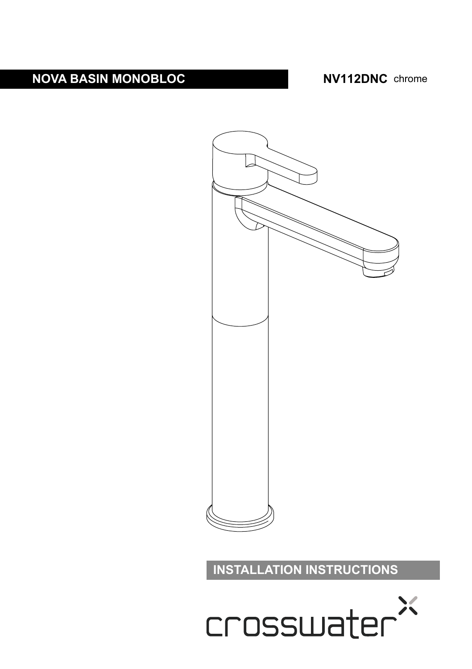# **NOVA BASIN MONOBLOC**

## **NV112DNC** chrome



# **INSTALLATION INSTRUCTIONS**

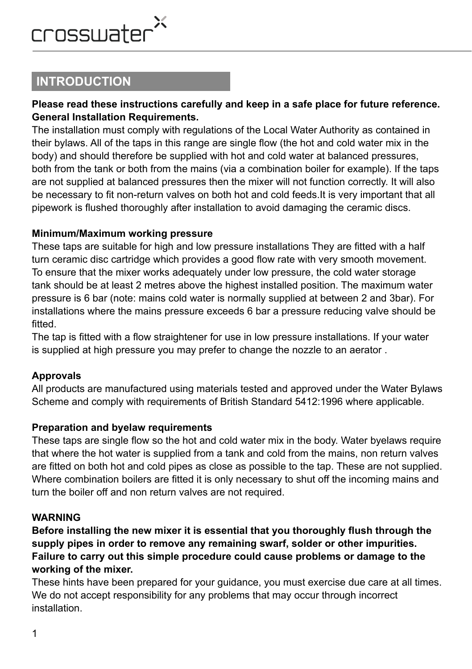

# **INTRODUCTION**

## **Please read these instructions carefully and keep in a safe place for future reference. General Installation Requirements.**

The installation must comply with regulations of the Local Water Authority as contained in their bylaws. All of the taps in this range are single flow (the hot and cold water mix in the body) and should therefore be supplied with hot and cold water at balanced pressures, both from the tank or both from the mains (via a combination boiler for example). If the taps are not supplied at balanced pressures then the mixer will not function correctly. It will also be necessary to fit non-return valves on both hot and cold feeds.It is very important that all pipework is flushed thoroughly after installation to avoid damaging the ceramic discs.

#### **Minimum/Maximum working pressure**

These taps are suitable for high and low pressure installations They are fitted with a half turn ceramic disc cartridge which provides a good flow rate with very smooth movement. To ensure that the mixer works adequately under low pressure, the cold water storage tank should be at least 2 metres above the highest installed position. The maximum water pressure is 6 bar (note: mains cold water is normally supplied at between 2 and 3bar). For installations where the mains pressure exceeds 6 bar a pressure reducing valve should be fitted.

The tap is fitted with a flow straightener for use in low pressure installations. If your water is supplied at high pressure you may prefer to change the nozzle to an aerator .

### **Approvals**

All products are manufactured using materials tested and approved under the Water Bylaws Scheme and comply with requirements of British Standard 5412:1996 where applicable.

### **Preparation and byelaw requirements**

These taps are single flow so the hot and cold water mix in the body. Water byelaws require that where the hot water is supplied from a tank and cold from the mains, non return valves are fitted on both hot and cold pipes as close as possible to the tap. These are not supplied. Where combination boilers are fitted it is only necessary to shut off the incoming mains and turn the boiler off and non return valves are not required.

#### **WARNING**

**Before installing the new mixer it is essential that you thoroughly flush through the supply pipes in order to remove any remaining swarf, solder or other impurities. Failure to carry out this simple procedure could cause problems or damage to the working of the mixer.**

These hints have been prepared for your guidance, you must exercise due care at all times. We do not accept responsibility for any problems that may occur through incorrect installation.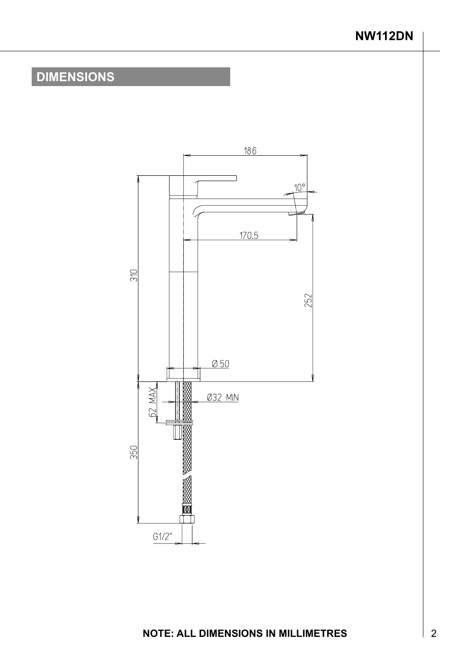# **DIMENSIONS**

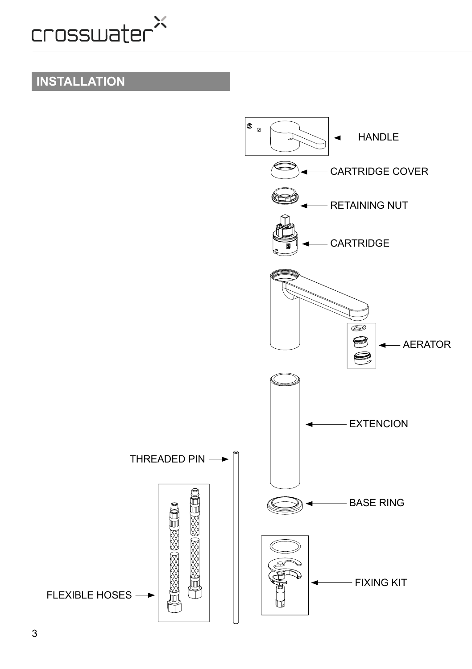

# **INSTALLATION**

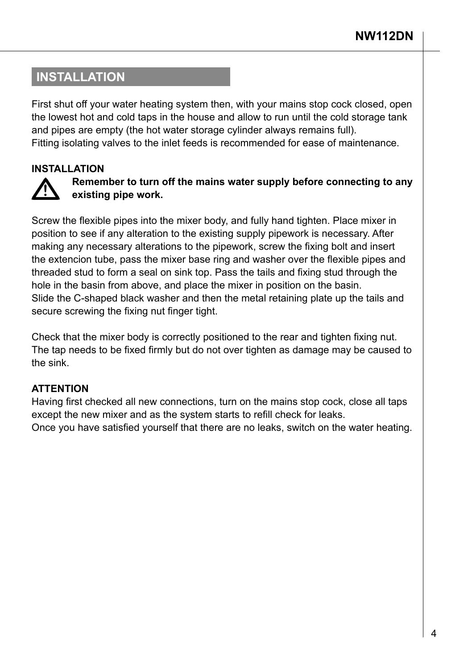# **INSTALLATION**

First shut off your water heating system then, with your mains stop cock closed, open the lowest hot and cold taps in the house and allow to run until the cold storage tank and pipes are empty (the hot water storage cylinder always remains full). Fitting isolating valves to the inlet feeds is recommended for ease of maintenance.

## **INSTALLATION**



**Remember to turn off the mains water supply before connecting to any existing pipe work.**

Screw the flexible pipes into the mixer body, and fully hand tighten. Place mixer in position to see if any alteration to the existing supply pipework is necessary. After making any necessary alterations to the pipework, screw the fixing bolt and insert the extencion tube, pass the mixer base ring and washer over the flexible pipes and threaded stud to form a seal on sink top. Pass the tails and fixing stud through the hole in the basin from above, and place the mixer in position on the basin. Slide the C-shaped black washer and then the metal retaining plate up the tails and secure screwing the fixing nut finger tight.

Check that the mixer body is correctly positioned to the rear and tighten fixing nut. The tap needs to be fixed firmly but do not over tighten as damage may be caused to the sink.

## **ATTENTION**

Having first checked all new connections, turn on the mains stop cock, close all taps except the new mixer and as the system starts to refill check for leaks. Once you have satisfied yourself that there are no leaks, switch on the water heating.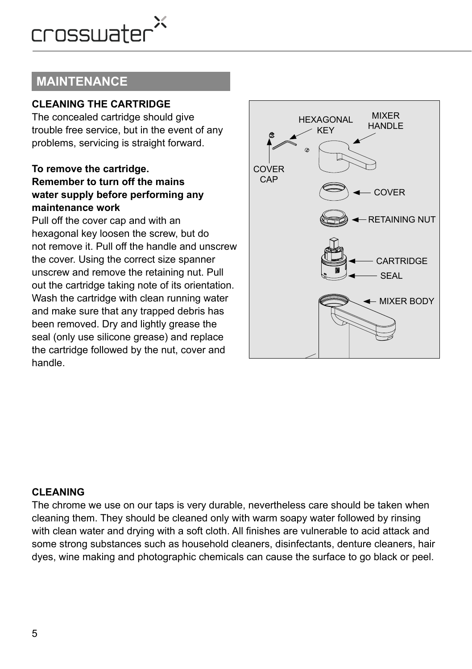

# **MAINTENANCE**

### **CLEANING THE CARTRIDGE**

The concealed cartridge should give trouble free service, but in the event of any problems, servicing is straight forward.

### **To remove the cartridge. Remember to turn off the mains water supply before performing any maintenance work**

Pull off the cover cap and with an hexagonal key loosen the screw, but do not remove it. Pull off the handle and unscrew the cover. Using the correct size spanner unscrew and remove the retaining nut. Pull out the cartridge taking note of its orientation. Wash the cartridge with clean running water and make sure that any trapped debris has been removed. Dry and lightly grease the seal (only use silicone grease) and replace the cartridge followed by the nut, cover and handle.



## **CLEANING**

The chrome we use on our taps is very durable, nevertheless care should be taken when cleaning them. They should be cleaned only with warm soapy water followed by rinsing with clean water and drying with a soft cloth. All finishes are vulnerable to acid attack and some strong substances such as household cleaners, disinfectants, denture cleaners, hair dyes, wine making and photographic chemicals can cause the surface to go black or peel.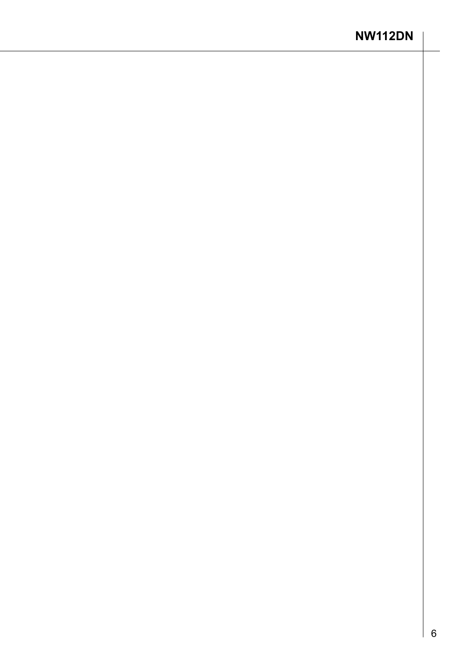## **NW112DN**